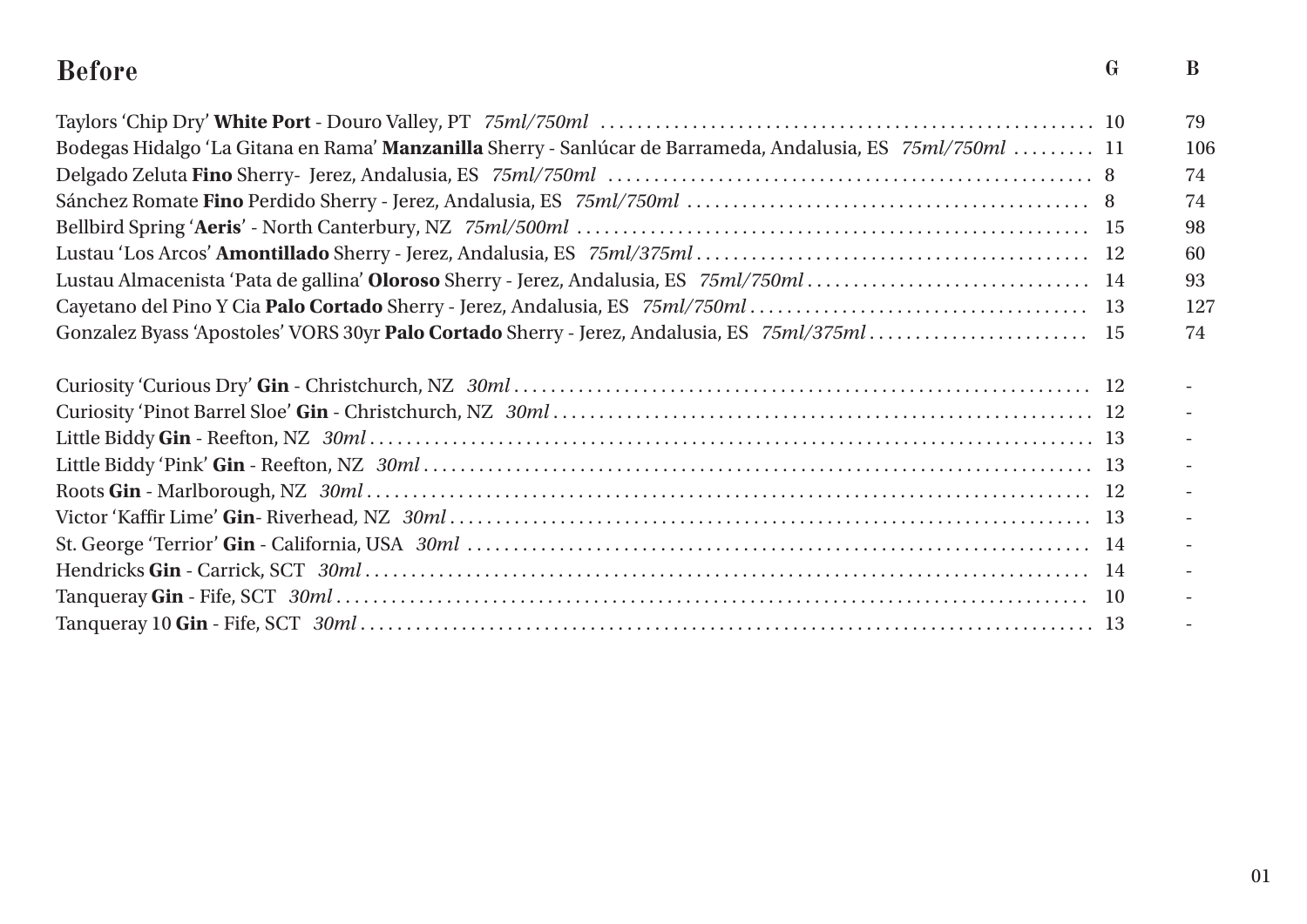#### **Before G B**

|                                                                                                             | 79  |
|-------------------------------------------------------------------------------------------------------------|-----|
| Bodegas Hidalgo 'La Gitana en Rama' Manzanilla Sherry - Sanlúcar de Barrameda, Andalusia, ES 75ml/750ml  11 | 106 |
|                                                                                                             | 74  |
|                                                                                                             | 74  |
|                                                                                                             | 98  |
|                                                                                                             | 60  |
|                                                                                                             | 93  |
|                                                                                                             | 127 |
| Gonzalez Byass 'Apostoles' VORS 30yr Palo Cortado Sherry - Jerez, Andalusia, ES 75ml/375ml 15               | 74  |
|                                                                                                             |     |
|                                                                                                             |     |
|                                                                                                             |     |
|                                                                                                             |     |
|                                                                                                             |     |
|                                                                                                             |     |
|                                                                                                             |     |
|                                                                                                             |     |
|                                                                                                             |     |
|                                                                                                             |     |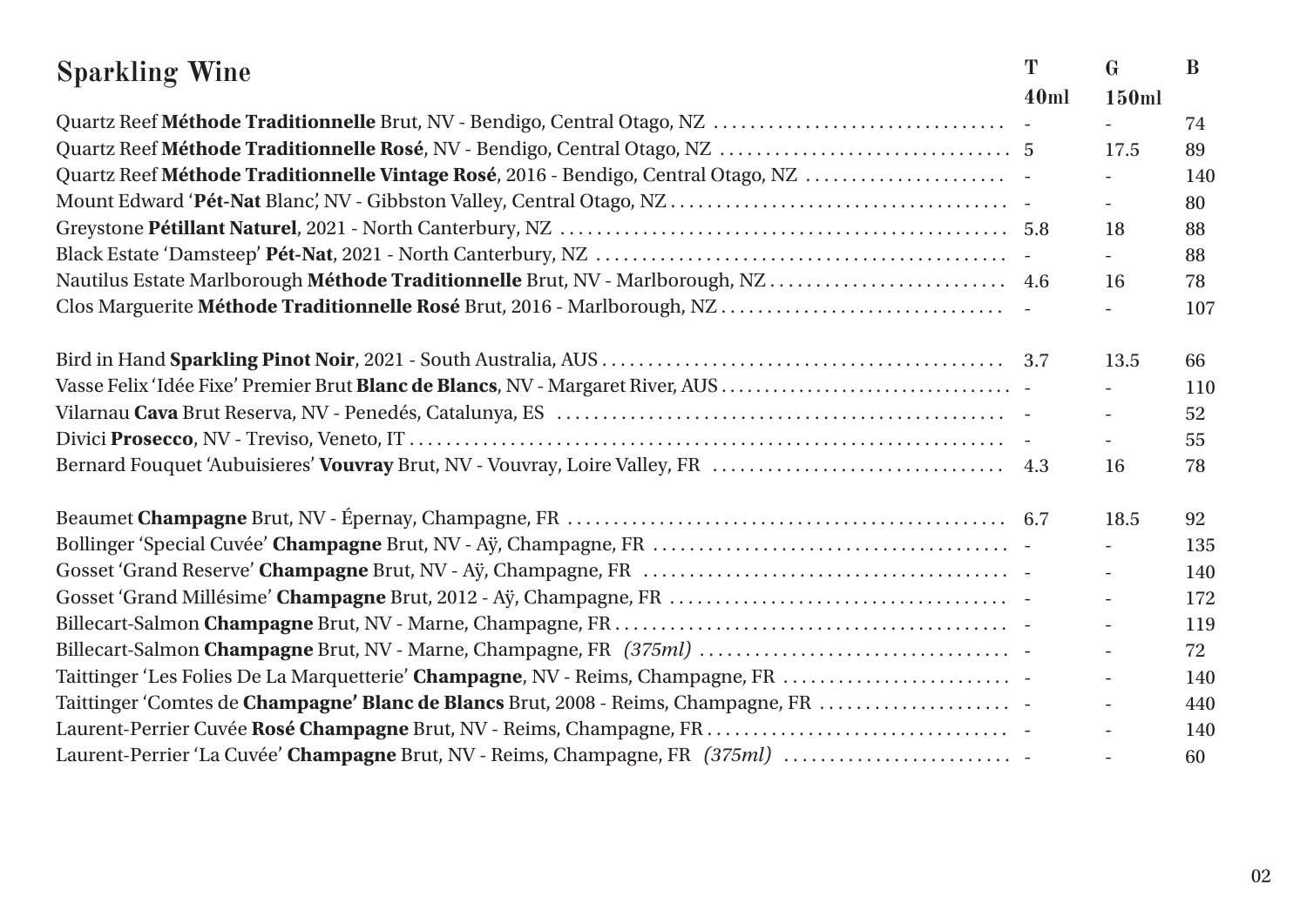| <b>Sparkling Wine</b>                                                              | T    | $\mathbf{G}$             | B   |
|------------------------------------------------------------------------------------|------|--------------------------|-----|
|                                                                                    | 40ml | 150ml                    |     |
|                                                                                    |      |                          | 74  |
|                                                                                    |      | 17.5                     | 89  |
| Quartz Reef Méthode Traditionnelle Vintage Rosé, 2016 - Bendigo, Central Otago, NZ |      |                          | 140 |
|                                                                                    |      | $\overline{\phantom{a}}$ | 80  |
|                                                                                    |      | 18                       | 88  |
|                                                                                    |      | $\equiv$                 | 88  |
| Nautilus Estate Marlborough Méthode Traditionnelle Brut, NV - Marlborough, NZ 4.6  |      | 16                       | 78  |
|                                                                                    |      |                          | 107 |
|                                                                                    |      | 13.5                     | 66  |
|                                                                                    |      |                          | 110 |
|                                                                                    |      | $\overline{\phantom{a}}$ | 52  |
|                                                                                    |      |                          | 55  |
|                                                                                    |      | 16                       | 78  |
|                                                                                    |      | 18.5                     | 92  |
|                                                                                    |      |                          | 135 |
|                                                                                    |      |                          | 140 |
|                                                                                    |      |                          | 172 |
|                                                                                    |      | $\blacksquare$           | 119 |
|                                                                                    |      | $\overline{\phantom{0}}$ | 72  |
| Taittinger 'Les Folies De La Marquetterie' Champagne, NV - Reims, Champagne, FR    |      |                          | 140 |
| Taittinger 'Comtes de Champagne' Blanc de Blancs Brut, 2008 - Reims, Champagne, FR |      | $\blacksquare$           | 440 |
|                                                                                    |      | $\overline{\phantom{a}}$ | 140 |
| Laurent-Perrier 'La Cuvée' Champagne Brut, NV - Reims, Champagne, FR (375ml)       |      |                          | 60  |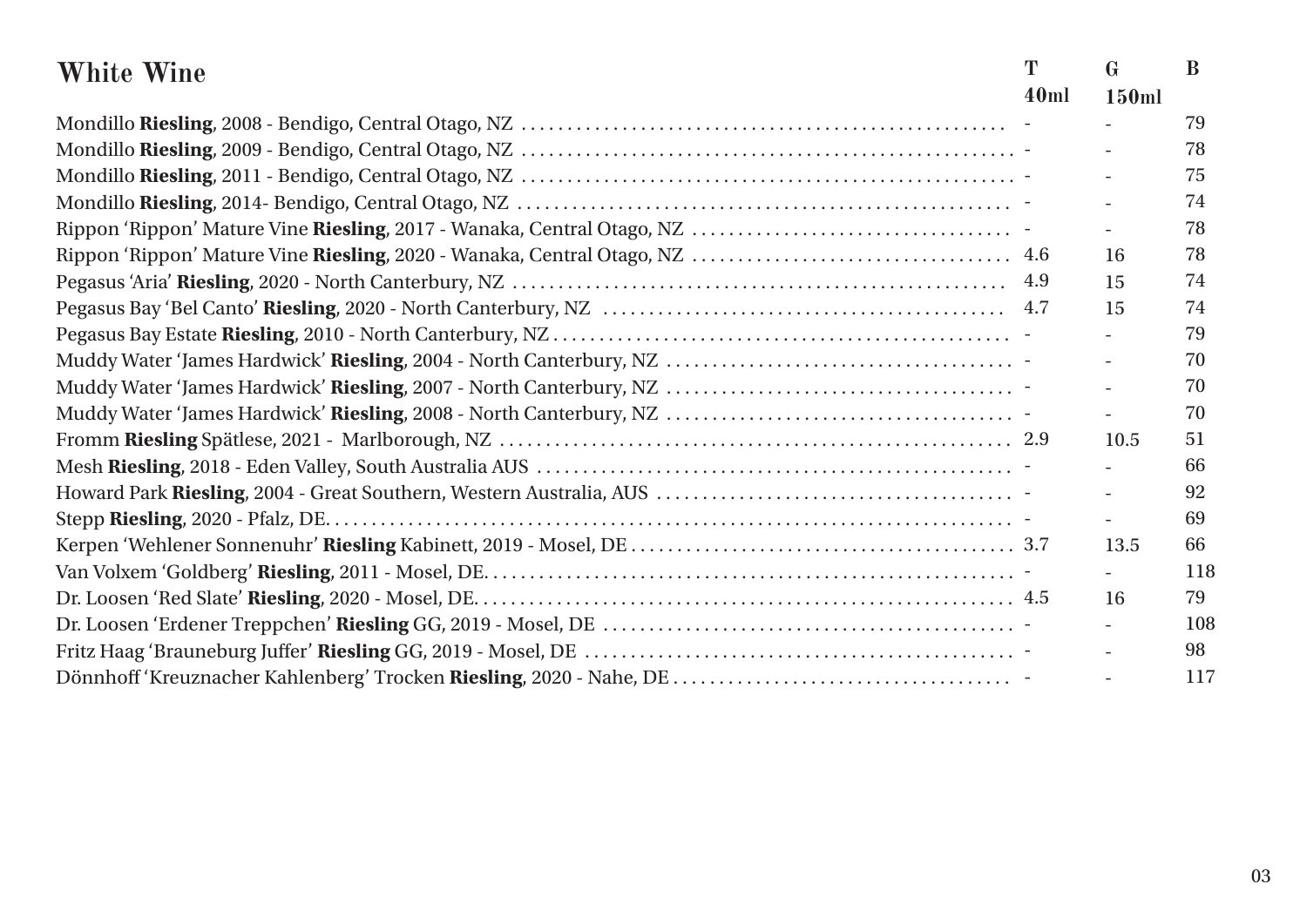| <b>White Wine</b> | T    | $\mathbf{G}$ | B   |
|-------------------|------|--------------|-----|
|                   | 40ml | 150ml        |     |
|                   |      |              | 79  |
|                   |      |              | 78  |
|                   |      |              | 75  |
|                   |      |              | 74  |
|                   |      |              | 78  |
|                   |      | 16           | 78  |
|                   |      | 15           | 74  |
|                   |      | 15           | 74  |
|                   |      |              | 79  |
|                   |      |              | 70  |
|                   |      |              | 70  |
|                   |      |              | 70  |
|                   |      | 10.5         | 51  |
|                   |      |              | 66  |
|                   |      |              | 92  |
|                   |      |              | 69  |
|                   |      | 13.5         | 66  |
|                   |      |              | 118 |
|                   |      | 16           | 79  |
|                   |      |              | 108 |
|                   |      |              | 98  |
|                   |      |              | 117 |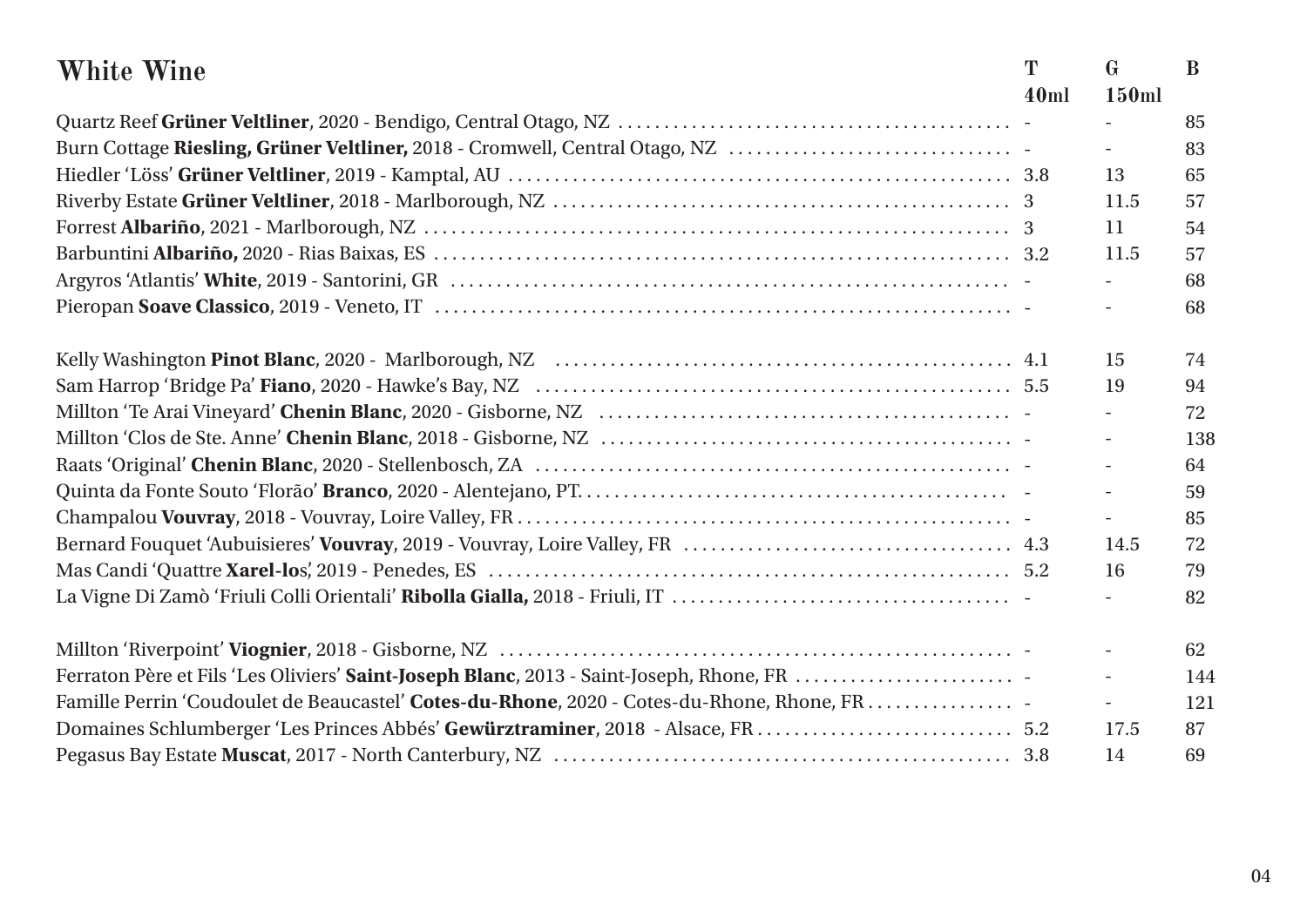| <b>White Wine</b>                                                                          | T    | $\mathbf{G}$             | B   |
|--------------------------------------------------------------------------------------------|------|--------------------------|-----|
|                                                                                            | 40ml | 150ml                    |     |
|                                                                                            |      |                          | 85  |
| Burn Cottage Riesling, Grüner Veltliner, 2018 - Cromwell, Central Otago, NZ                |      | $\overline{\phantom{a}}$ | 83  |
|                                                                                            |      | 13                       | 65  |
|                                                                                            |      | 11.5                     | 57  |
|                                                                                            |      | 11                       | 54  |
|                                                                                            |      | 11.5                     | 57  |
|                                                                                            |      |                          | 68  |
|                                                                                            |      |                          | 68  |
|                                                                                            |      | 15                       | 74  |
|                                                                                            |      | 19                       | 94  |
|                                                                                            |      | $\overline{a}$           | 72  |
|                                                                                            |      | $\frac{1}{2}$            | 138 |
|                                                                                            |      | $\frac{1}{2}$            | 64  |
|                                                                                            |      |                          | 59  |
|                                                                                            |      |                          | 85  |
|                                                                                            |      | 14.5                     | 72  |
|                                                                                            |      | 16                       | 79  |
|                                                                                            |      |                          | 82  |
|                                                                                            |      | $\frac{1}{2}$            | 62  |
| Ferraton Père et Fils 'Les Oliviers' Saint-Joseph Blanc, 2013 - Saint-Joseph, Rhone, FR    |      | $\overline{a}$           | 144 |
| Famille Perrin 'Coudoulet de Beaucastel' Cotes-du-Rhone, 2020 - Cotes-du-Rhone, Rhone, FR. |      |                          | 121 |
| Domaines Schlumberger 'Les Princes Abbés' Gewürztraminer, 2018 - Alsace, FR  5.2           |      | 17.5                     | 87  |
|                                                                                            |      | 14                       | 69  |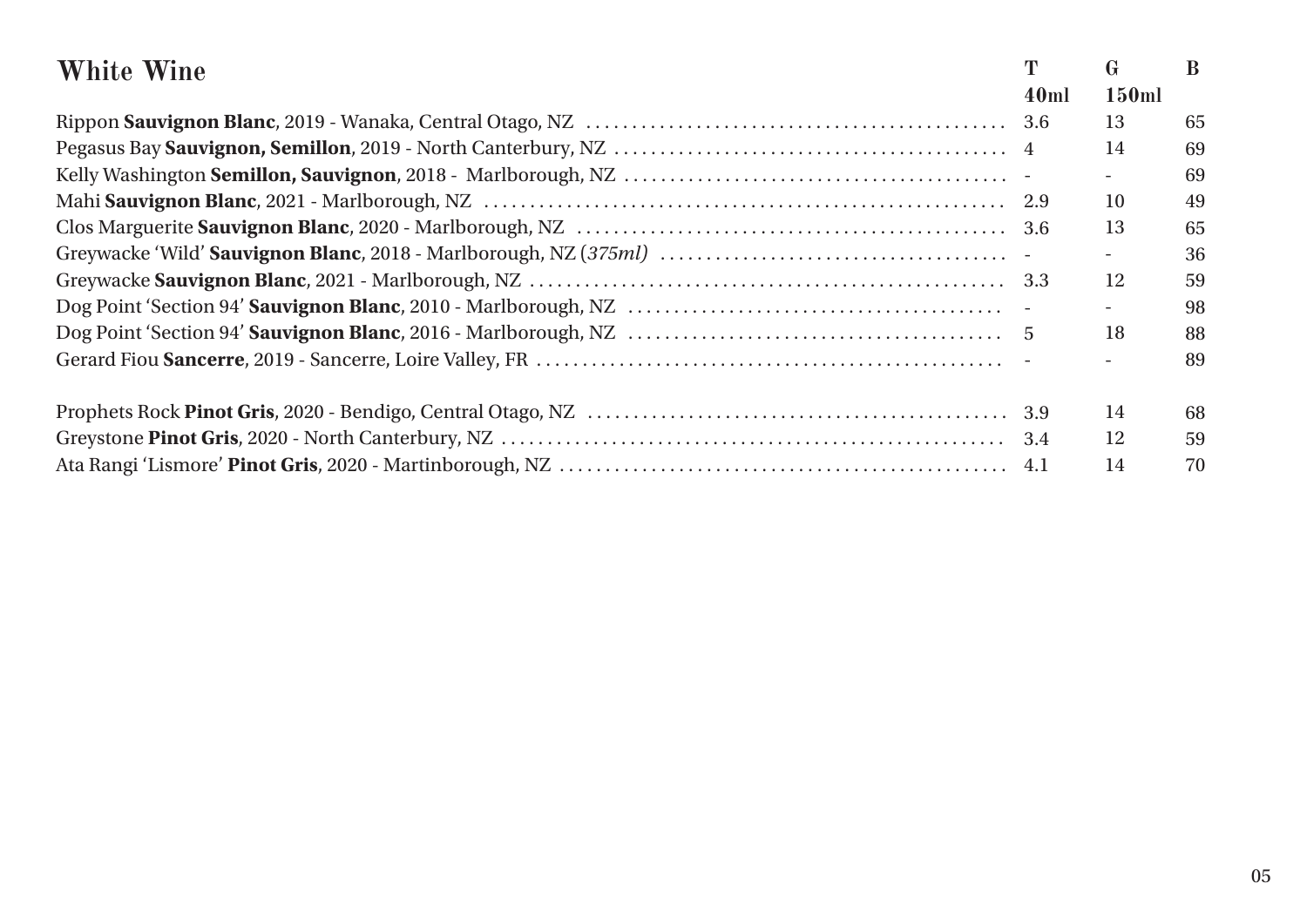| White Wine | T    | G                        | B  |
|------------|------|--------------------------|----|
|            | 40ml | <b>150ml</b>             |    |
|            |      | 13                       | 65 |
|            |      | 14                       | 69 |
|            |      |                          | 69 |
|            |      | 10                       | 49 |
|            |      | 13                       | 65 |
|            |      | $\overline{\phantom{a}}$ | 36 |
|            |      | 12                       | 59 |
|            |      | $\overline{\phantom{a}}$ | 98 |
|            |      | 18                       | 88 |
|            |      |                          | 89 |
|            |      | 14                       | 68 |
|            |      | 12                       | 59 |
|            |      | 14                       | 70 |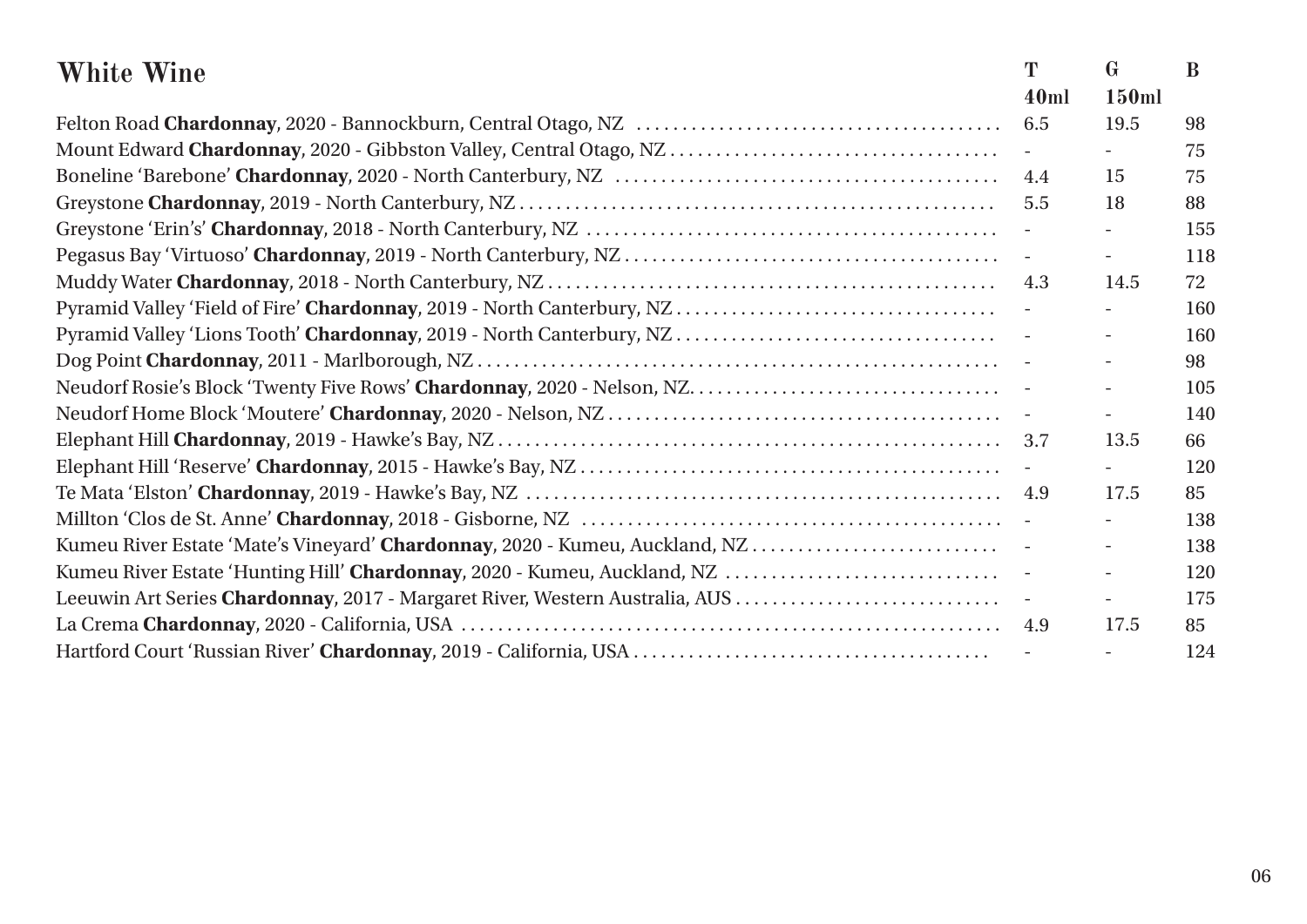| <b>White Wine</b>                                                            | T            | $\mathbf{G}$ | B   |
|------------------------------------------------------------------------------|--------------|--------------|-----|
|                                                                              | 40ml         | 150ml        |     |
|                                                                              | 6.5          | 19.5         | 98  |
|                                                                              |              |              | 75  |
|                                                                              | 4.4          | 15           | 75  |
|                                                                              | 5.5          | 18           | 88  |
|                                                                              | $\mathbb{L}$ |              | 155 |
|                                                                              |              |              | 118 |
|                                                                              | 4.3          | 14.5         | 72  |
|                                                                              |              |              | 160 |
|                                                                              |              |              | 160 |
|                                                                              |              |              | 98  |
|                                                                              |              |              | 105 |
|                                                                              |              |              | 140 |
|                                                                              |              | 13.5         | 66  |
|                                                                              |              |              | 120 |
|                                                                              |              | 17.5         | 85  |
|                                                                              |              |              | 138 |
| Kumeu River Estate 'Mate's Vineyard' Chardonnay, 2020 - Kumeu, Auckland, NZ  |              |              | 138 |
|                                                                              |              |              | 120 |
| Leeuwin Art Series Chardonnay, 2017 - Margaret River, Western Australia, AUS |              |              | 175 |
|                                                                              |              | 17.5         | 85  |
|                                                                              |              |              | 124 |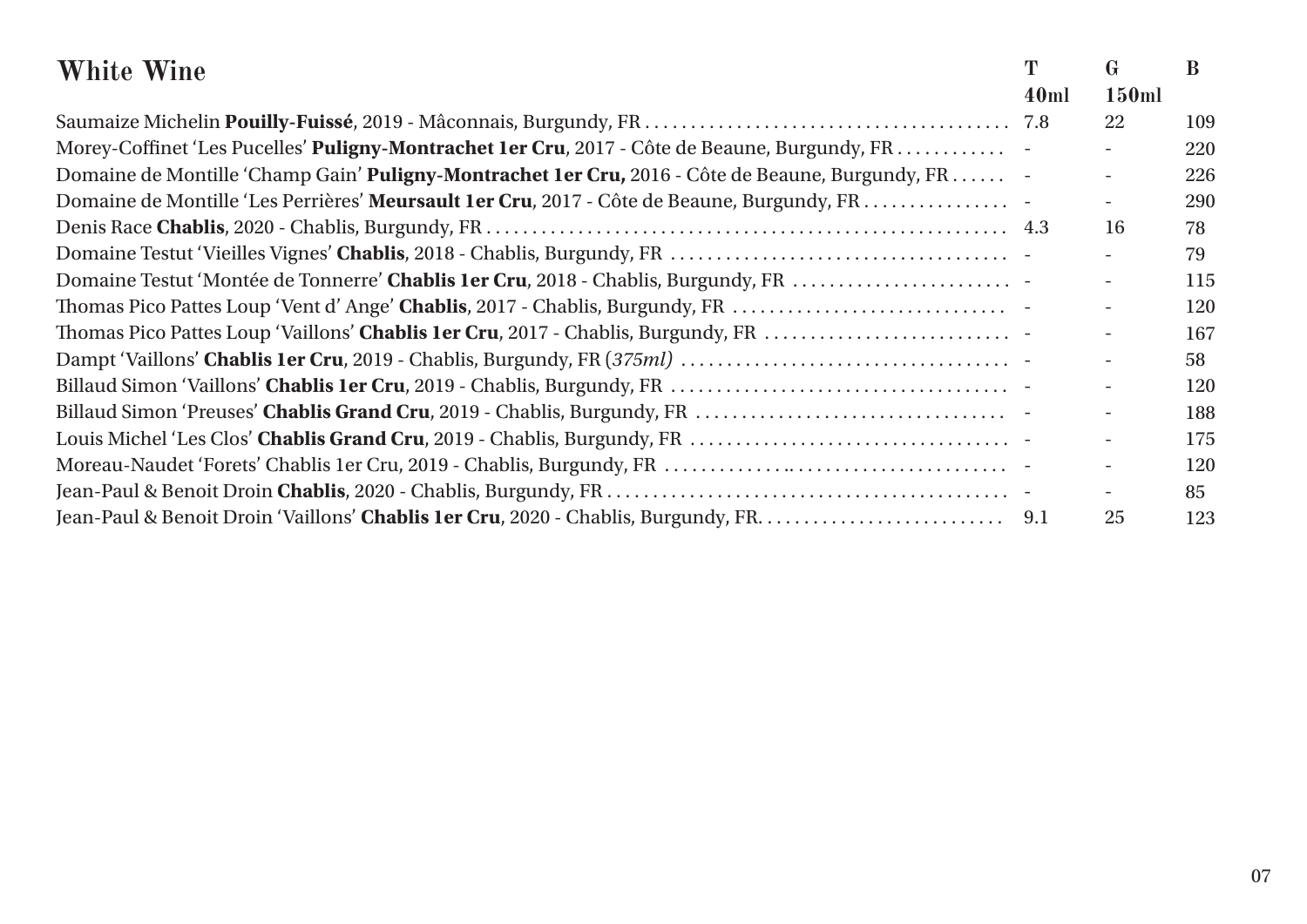| <b>White Wine</b>                                                                                 | T    | $\mathbf{G}$             | B   |
|---------------------------------------------------------------------------------------------------|------|--------------------------|-----|
|                                                                                                   | 40ml | 150ml                    |     |
|                                                                                                   |      | 22                       | 109 |
| Morey-Coffinet 'Les Pucelles' Puligny-Montrachet 1er Cru, 2017 - Côte de Beaune, Burgundy, FR.    |      |                          | 220 |
| Domaine de Montille 'Champ Gain' Puligny-Montrachet 1er Cru, 2016 - Côte de Beaune, Burgundy, FR. |      |                          | 226 |
| Domaine de Montille 'Les Perrières' Meursault 1er Cru, 2017 - Côte de Beaune, Burgundy, FR.       |      | $\overline{a}$           | 290 |
|                                                                                                   |      | 16                       | 78  |
|                                                                                                   |      |                          | 79  |
| Domaine Testut 'Montée de Tonnerre' Chablis 1er Cru, 2018 - Chablis, Burgundy, FR                 |      |                          | 115 |
| Thomas Pico Pattes Loup 'Vent d' Ange' Chablis, 2017 - Chablis, Burgundy, FR                      |      |                          | 120 |
| Thomas Pico Pattes Loup 'Vaillons' Chablis 1er Cru, 2017 - Chablis, Burgundy, FR                  |      |                          | 167 |
|                                                                                                   |      |                          | 58  |
|                                                                                                   |      |                          | 120 |
|                                                                                                   |      |                          | 188 |
|                                                                                                   |      | $\overline{\phantom{a}}$ | 175 |
|                                                                                                   |      |                          | 120 |
|                                                                                                   |      | $-$                      | 85  |
|                                                                                                   |      | 25                       | 123 |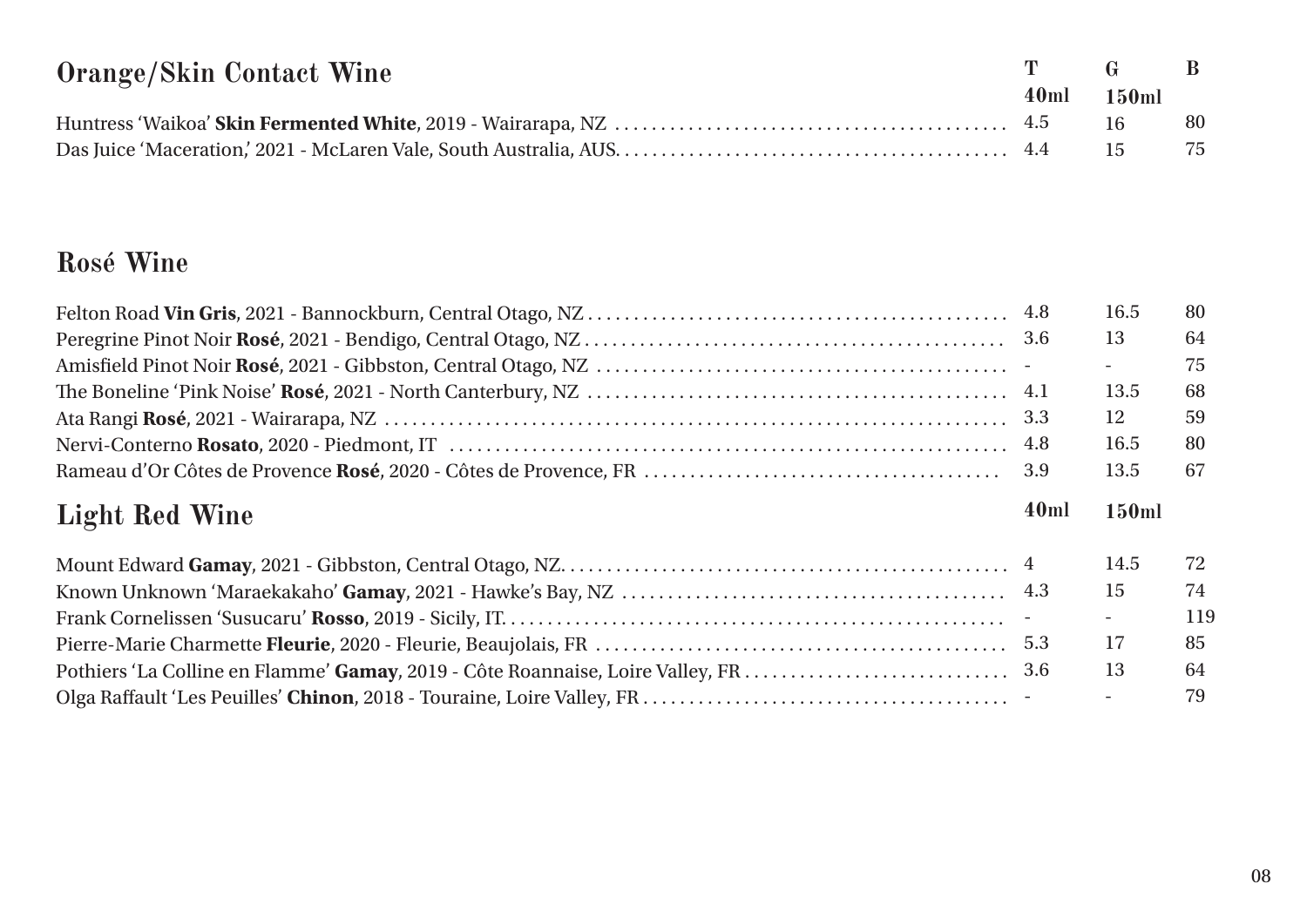| <b>Orange/Skin Contact Wine</b> | T G B      |      |
|---------------------------------|------------|------|
|                                 | 40ml 150ml |      |
|                                 |            | - 80 |
|                                 |            |      |

# **Rosé Wine**

|                       |      | 16.5  | 80  |
|-----------------------|------|-------|-----|
|                       |      | 13    | 64  |
|                       |      |       | 75  |
|                       |      | 13.5  | 68  |
|                       |      | 12    | 59  |
|                       |      | 16.5  | 80  |
|                       | 3.9  | 13.5  | 67  |
|                       |      |       |     |
| <b>Light Red Wine</b> | 40ml | 150ml |     |
|                       |      | 14.5  | 72  |
|                       |      | 15    | 74  |
|                       |      |       | 119 |
|                       |      | 17    | 85  |
|                       |      | 13    | 64  |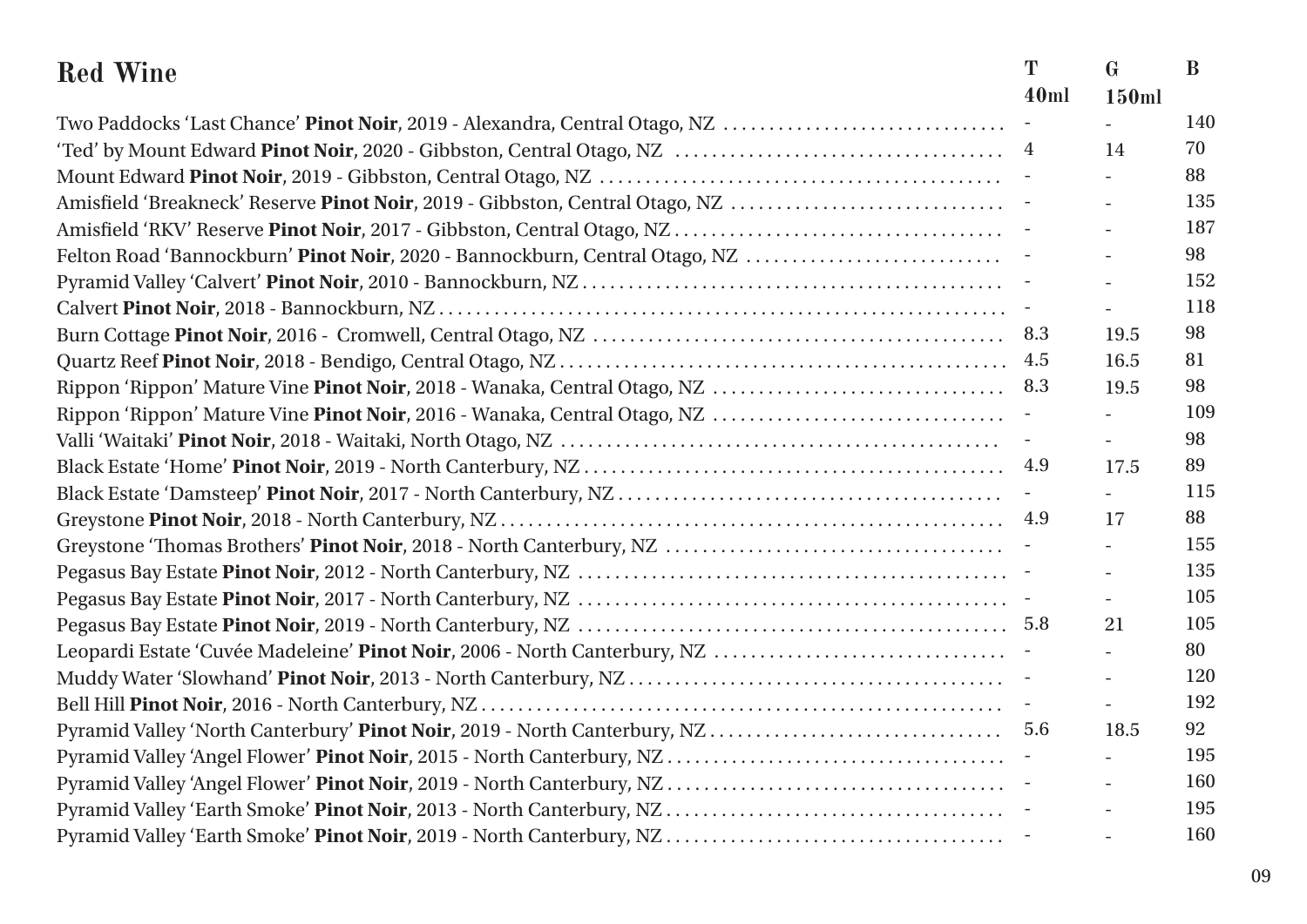| <b>Red Wine</b>                                                              | T<br>40ml | $\mathbf G$<br>150ml | B   |
|------------------------------------------------------------------------------|-----------|----------------------|-----|
| Two Paddocks 'Last Chance' Pinot Noir, 2019 - Alexandra, Central Otago, NZ   |           |                      | 140 |
|                                                                              |           | 14                   | 70  |
|                                                                              |           |                      | 88  |
| Amisfield 'Breakneck' Reserve Pinot Noir, 2019 - Gibbston, Central Otago, NZ |           |                      | 135 |
|                                                                              |           |                      | 187 |
| Felton Road 'Bannockburn' Pinot Noir, 2020 - Bannockburn, Central Otago, NZ  |           |                      | 98  |
|                                                                              |           |                      | 152 |
|                                                                              |           |                      | 118 |
|                                                                              | 8.3       | 19.5                 | 98  |
|                                                                              | 4.5       | 16.5                 | 81  |
|                                                                              | 8.3       | 19.5                 | 98  |
|                                                                              |           |                      | 109 |
|                                                                              |           |                      | 98  |
|                                                                              | 4.9       | 17.5                 | 89  |
|                                                                              |           |                      | 115 |
|                                                                              |           |                      | 88  |
|                                                                              | 4.9       | 17                   | 155 |
|                                                                              |           |                      |     |
|                                                                              |           |                      | 135 |
|                                                                              |           |                      | 105 |
|                                                                              |           | 21                   | 105 |
|                                                                              |           |                      | 80  |
|                                                                              |           |                      | 120 |
|                                                                              |           |                      | 192 |
|                                                                              | 5.6       | 18.5                 | 92  |
|                                                                              |           |                      | 195 |
|                                                                              |           |                      | 160 |
|                                                                              |           |                      | 195 |
|                                                                              |           |                      | 160 |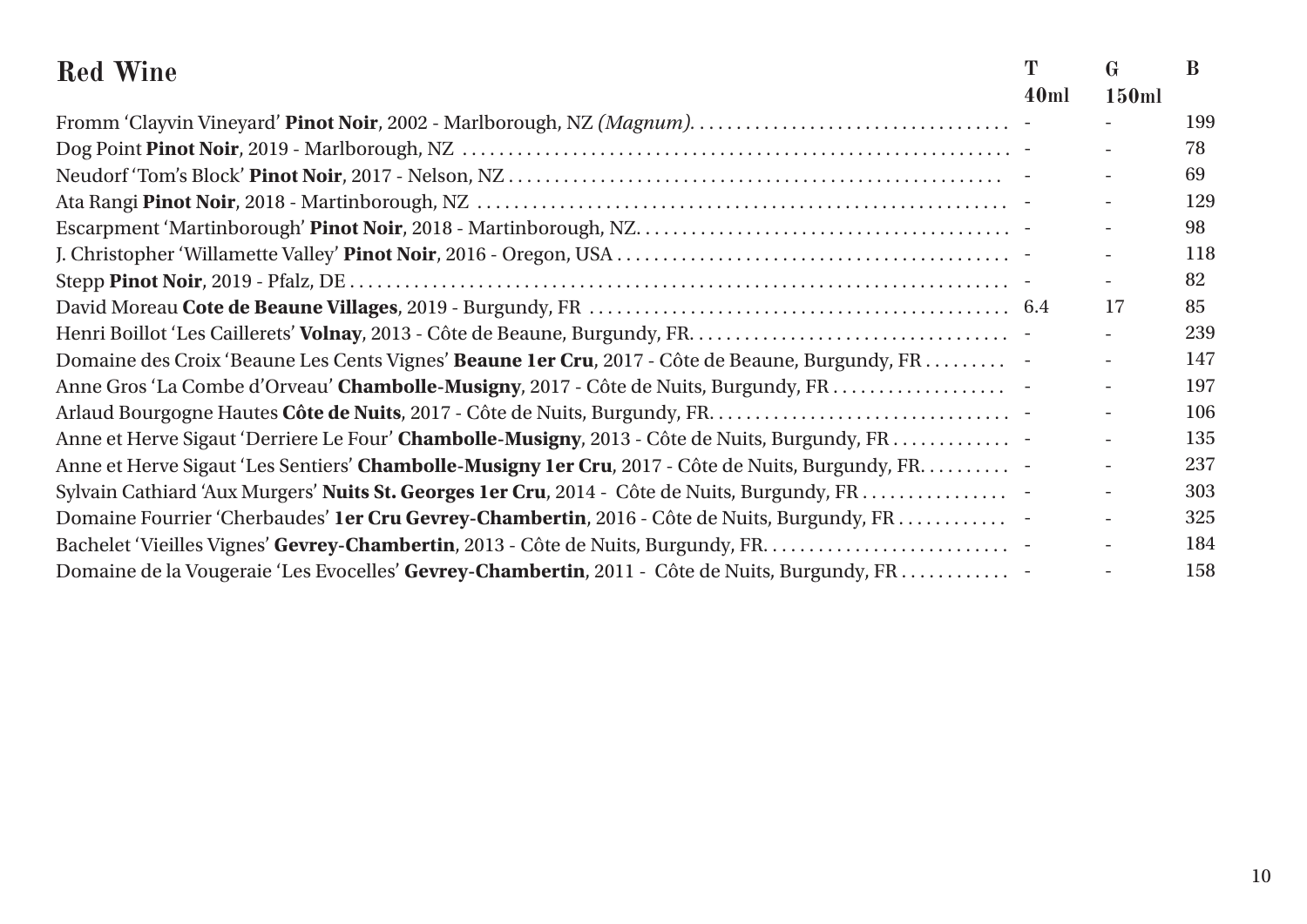| <b>Red Wine</b>                                                                                    | T    | $\mathbf G$              | B   |
|----------------------------------------------------------------------------------------------------|------|--------------------------|-----|
|                                                                                                    | 40ml | 150ml                    |     |
|                                                                                                    |      |                          | 199 |
|                                                                                                    |      |                          | 78  |
|                                                                                                    |      |                          | 69  |
|                                                                                                    |      |                          | 129 |
|                                                                                                    |      |                          | 98  |
|                                                                                                    |      |                          | 118 |
|                                                                                                    |      |                          | 82  |
|                                                                                                    |      | 17                       | 85  |
|                                                                                                    |      |                          | 239 |
| Domaine des Croix 'Beaune Les Cents Vignes' Beaune 1er Cru, 2017 - Côte de Beaune, Burgundy, FR.   |      |                          | 147 |
| Anne Gros 'La Combe d'Orveau' Chambolle-Musigny, 2017 - Côte de Nuits, Burgundy, FR.               |      |                          | 197 |
|                                                                                                    |      |                          | 106 |
| Anne et Herve Sigaut 'Derriere Le Four' Chambolle-Musigny, 2013 - Côte de Nuits, Burgundy, FR.     |      | $\overline{\phantom{a}}$ | 135 |
| Anne et Herve Sigaut 'Les Sentiers' Chambolle-Musigny 1er Cru, 2017 - Côte de Nuits, Burgundy, FR. |      |                          | 237 |
| Sylvain Cathiard 'Aux Murgers' Nuits St. Georges 1er Cru, 2014 - Côte de Nuits, Burgundy, FR.      |      |                          | 303 |
| Domaine Fourrier 'Cherbaudes' 1er Cru Gevrey-Chambertin, 2016 - Côte de Nuits, Burgundy, FR.       |      |                          | 325 |
|                                                                                                    |      |                          | 184 |
| Domaine de la Vougeraie 'Les Evocelles' Gevrey-Chambertin, 2011 - Côte de Nuits, Burgundy, FR.     |      |                          | 158 |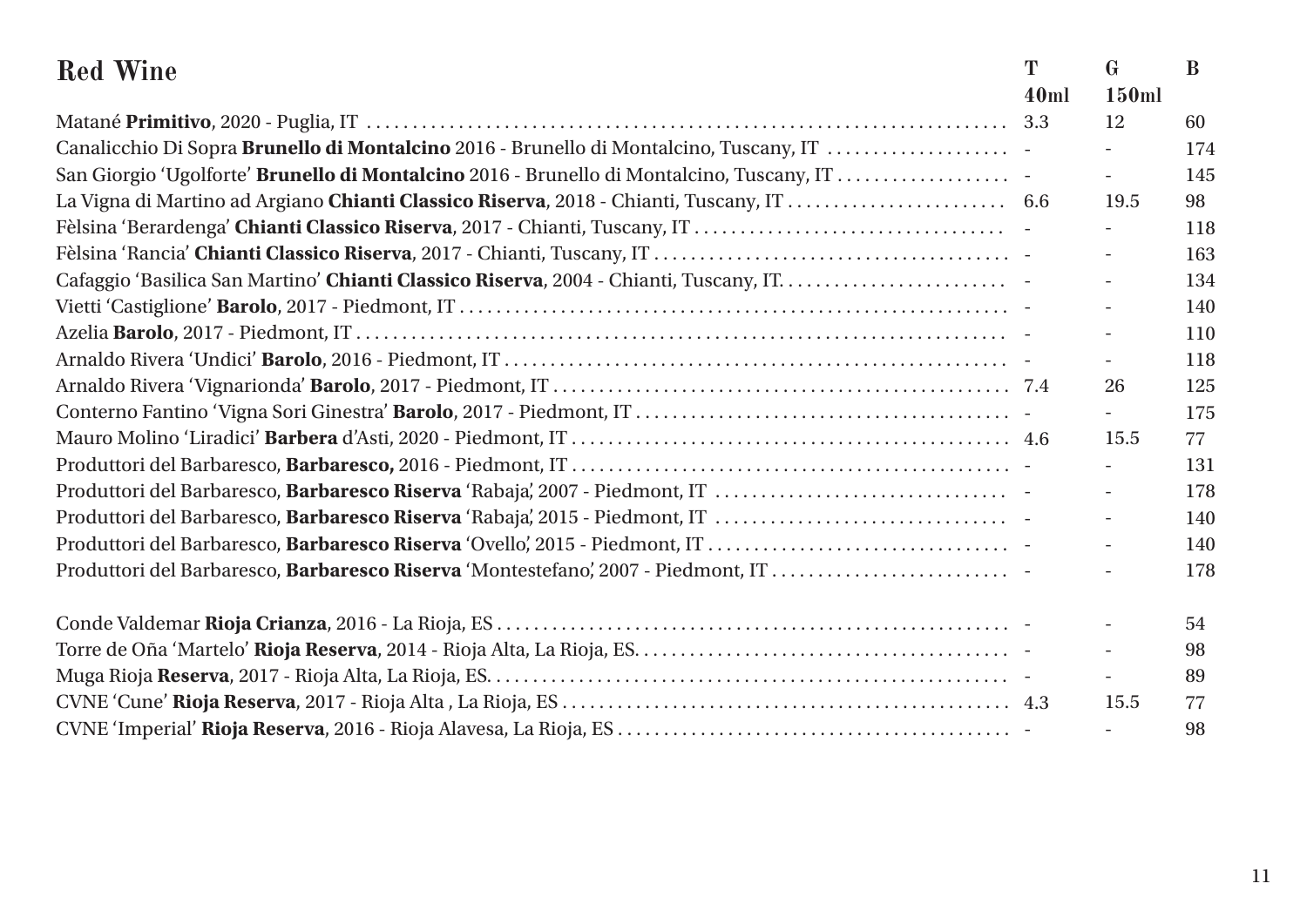| <b>Red Wine</b>                                                                           | T    | $\mathbf{G}$             | B   |
|-------------------------------------------------------------------------------------------|------|--------------------------|-----|
|                                                                                           | 40ml | 150ml                    |     |
|                                                                                           | 3.3  | 12                       | 60  |
| Canalicchio Di Sopra Brunello di Montalcino 2016 - Brunello di Montalcino, Tuscany, IT    |      |                          | 174 |
| San Giorgio 'Ugolforte' Brunello di Montalcino 2016 - Brunello di Montalcino, Tuscany, IT |      | $\overline{\phantom{a}}$ | 145 |
|                                                                                           |      | 19.5                     | 98  |
|                                                                                           |      |                          | 118 |
|                                                                                           |      | $\overline{\phantom{a}}$ | 163 |
|                                                                                           |      |                          | 134 |
|                                                                                           |      |                          | 140 |
|                                                                                           |      | $\overline{\phantom{a}}$ | 110 |
|                                                                                           |      | $\overline{\phantom{a}}$ | 118 |
|                                                                                           |      | 26                       | 125 |
|                                                                                           |      |                          | 175 |
|                                                                                           |      | 15.5                     | 77  |
|                                                                                           |      | $\overline{a}$           | 131 |
| Produttori del Barbaresco, Barbaresco Riserva 'Rabaja', 2007 - Piedmont, IT               |      | $\overline{\phantom{a}}$ | 178 |
|                                                                                           |      | $\overline{\phantom{a}}$ | 140 |
|                                                                                           |      | $\overline{\phantom{a}}$ | 140 |
| Produttori del Barbaresco, Barbaresco Riserva 'Montestefano', 2007 - Piedmont, IT         |      |                          | 178 |
|                                                                                           |      |                          | 54  |
|                                                                                           |      |                          | 98  |
|                                                                                           |      |                          | 89  |
|                                                                                           |      | 15.5                     | 77  |
|                                                                                           |      |                          | 98  |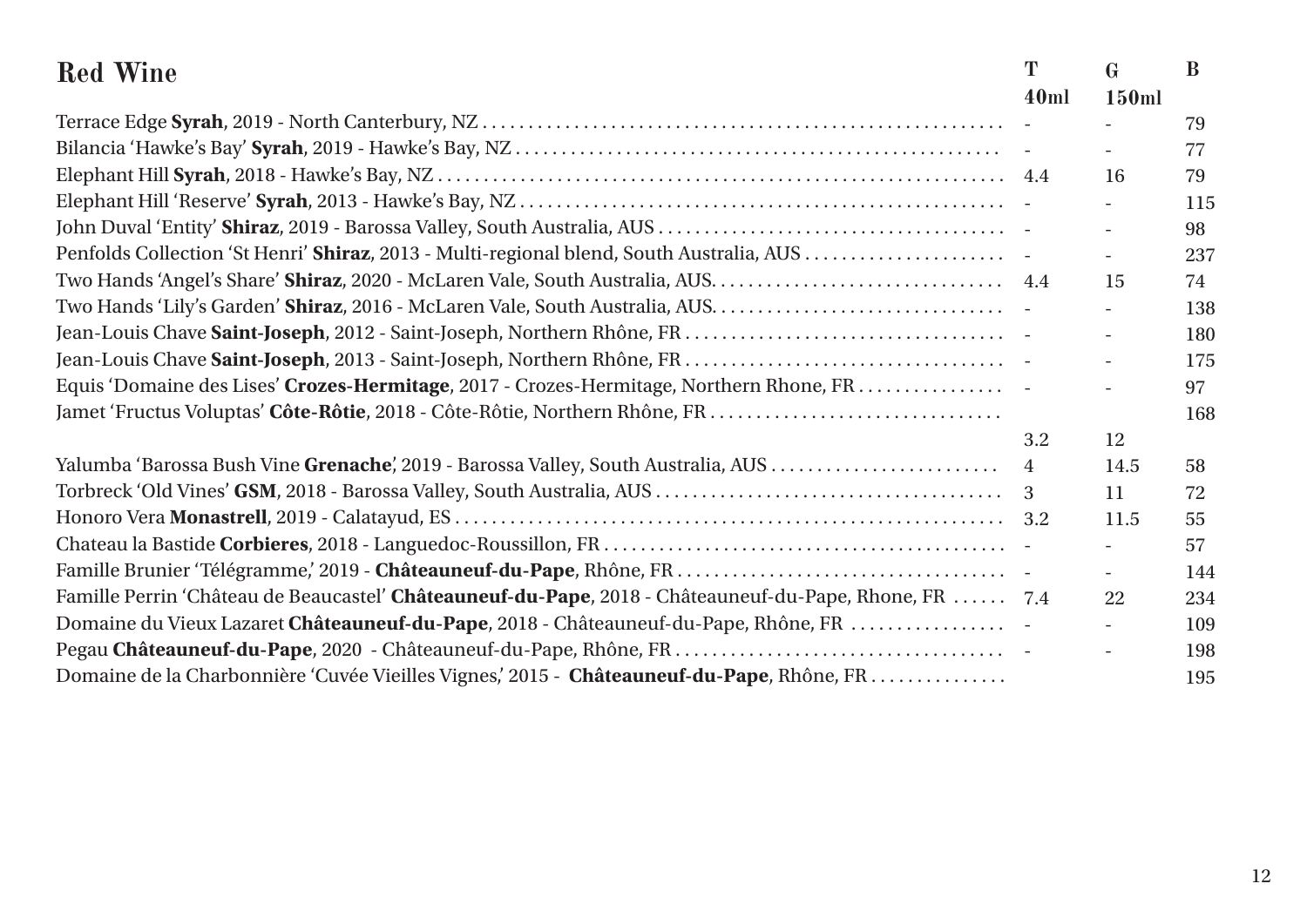| <b>Red Wine</b>                                                                                        | T              | $\mathbf{G}$             | $\bf{B}$ |
|--------------------------------------------------------------------------------------------------------|----------------|--------------------------|----------|
|                                                                                                        | 40ml           | 150ml                    |          |
|                                                                                                        |                |                          | 79       |
|                                                                                                        |                |                          | 77       |
|                                                                                                        |                | 16                       | 79       |
|                                                                                                        |                |                          | 115      |
|                                                                                                        |                | $\overline{\phantom{0}}$ | 98       |
| Penfolds Collection 'St Henri' Shiraz, 2013 - Multi-regional blend, South Australia, AUS               |                | $\overline{\phantom{0}}$ | 237      |
|                                                                                                        |                | 15                       | 74       |
| Two Hands 'Lily's Garden' Shiraz, 2016 - McLaren Vale, South Australia, AUS.                           |                | $\overline{\phantom{a}}$ | 138      |
|                                                                                                        |                |                          | 180      |
|                                                                                                        |                |                          | 175      |
| Equis 'Domaine des Lises' Crozes-Hermitage, 2017 - Crozes-Hermitage, Northern Rhone, FR.               |                |                          | 97       |
|                                                                                                        |                |                          | 168      |
|                                                                                                        | 3.2            | 12                       |          |
| Yalumba 'Barossa Bush Vine Grenache', 2019 - Barossa Valley, South Australia, AUS                      | $\overline{4}$ | 14.5                     | 58       |
|                                                                                                        | 3              | 11                       | 72       |
|                                                                                                        |                | 11.5                     | 55       |
|                                                                                                        |                |                          | 57       |
|                                                                                                        |                |                          | 144      |
| Famille Perrin 'Château de Beaucastel' Châteauneuf-du-Pape, 2018 - Châteauneuf-du-Pape, Rhone, FR  7.4 |                | 22                       | 234      |
| Domaine du Vieux Lazaret Châteauneuf-du-Pape, 2018 - Châteauneuf-du-Pape, Rhône, FR                    |                | $\equiv$                 | 109      |
|                                                                                                        |                |                          | 198      |
| Domaine de la Charbonnière 'Cuvée Vieilles Vignes,' 2015 - Châteauneuf-du-Pape, Rhône, FR.             |                |                          | 195      |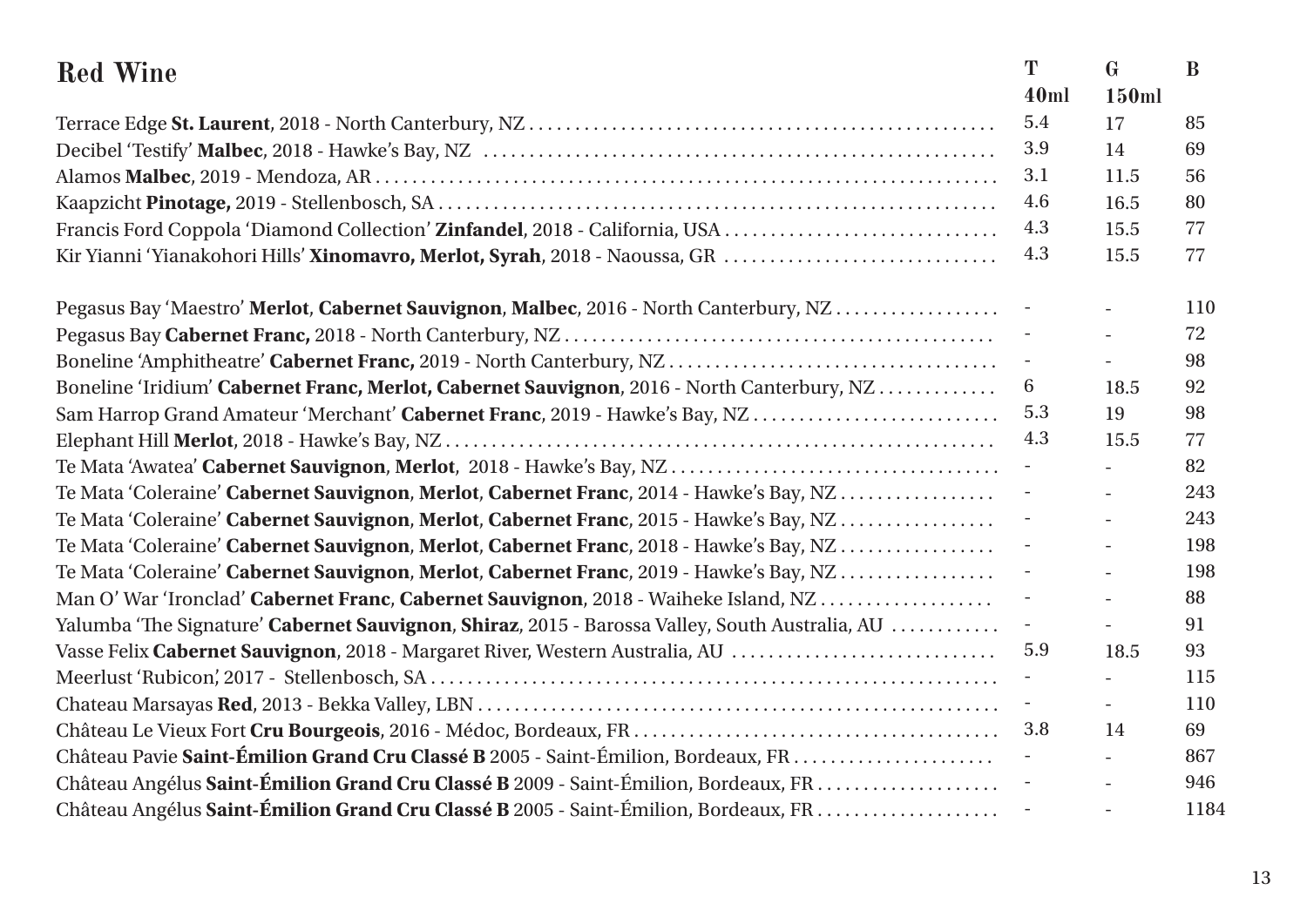| <b>Red Wine</b>                                                                                | T                        | $\mathbf{G}$             | B    |
|------------------------------------------------------------------------------------------------|--------------------------|--------------------------|------|
|                                                                                                | 40ml                     | 150ml                    |      |
|                                                                                                | 5.4                      | 17                       | 85   |
|                                                                                                | 3.9                      | 14                       | 69   |
|                                                                                                | 3.1                      | 11.5                     | 56   |
|                                                                                                | 4.6                      | 16.5                     | 80   |
| Francis Ford Coppola 'Diamond Collection' Zinfandel, 2018 - California, USA                    | 4.3                      | 15.5                     | 77   |
| Kir Yianni 'Yianakohori Hills' Xinomavro, Merlot, Syrah, 2018 - Naoussa, GR                    | 4.3                      | 15.5                     | 77   |
| Pegasus Bay 'Maestro' Merlot, Cabernet Sauvignon, Malbec, 2016 - North Canterbury, NZ          |                          |                          | 110  |
|                                                                                                |                          | $\blacksquare$           | 72   |
|                                                                                                |                          | $\equiv$                 | 98   |
| Boneline 'Iridium' Cabernet Franc, Merlot, Cabernet Sauvignon, 2016 - North Canterbury, NZ     | 6                        | 18.5                     | 92   |
| Sam Harrop Grand Amateur 'Merchant' Cabernet Franc, 2019 - Hawke's Bay, NZ                     | 5.3                      | 19                       | 98   |
|                                                                                                | 4.3                      | 15.5                     | 77   |
|                                                                                                |                          | $\overline{\phantom{0}}$ | 82   |
| Te Mata 'Coleraine' Cabernet Sauvignon, Merlot, Cabernet Franc, 2014 - Hawke's Bay, NZ         |                          | $\blacksquare$           | 243  |
| Te Mata 'Coleraine' Cabernet Sauvignon, Merlot, Cabernet Franc, 2015 - Hawke's Bay, NZ         |                          | $\overline{\phantom{0}}$ | 243  |
| Te Mata 'Coleraine' Cabernet Sauvignon, Merlot, Cabernet Franc, 2018 - Hawke's Bay, NZ         |                          | $\sim$                   | 198  |
| Te Mata 'Coleraine' Cabernet Sauvignon, Merlot, Cabernet Franc, 2019 - Hawke's Bay, NZ         |                          | $\overline{\phantom{0}}$ | 198  |
| Man O' War 'Ironclad' Cabernet Franc, Cabernet Sauvignon, 2018 - Waiheke Island, NZ            |                          | $\equiv$                 | 88   |
| Yalumba 'The Signature' Cabernet Sauvignon, Shiraz, 2015 - Barossa Valley, South Australia, AU | $\overline{\phantom{a}}$ | $\blacksquare$           | 91   |
| Vasse Felix Cabernet Sauvignon, 2018 - Margaret River, Western Australia, AU                   | 5.9                      | 18.5                     | 93   |
|                                                                                                |                          | $\overline{a}$           | 115  |
|                                                                                                | $\pm$                    | $\overline{\phantom{a}}$ | 110  |
|                                                                                                | 3.8                      | 14                       | 69   |
|                                                                                                | $\overline{\phantom{a}}$ | $\overline{\phantom{0}}$ | 867  |
|                                                                                                |                          | $\equiv$                 | 946  |
|                                                                                                |                          | $\equiv$                 | 1184 |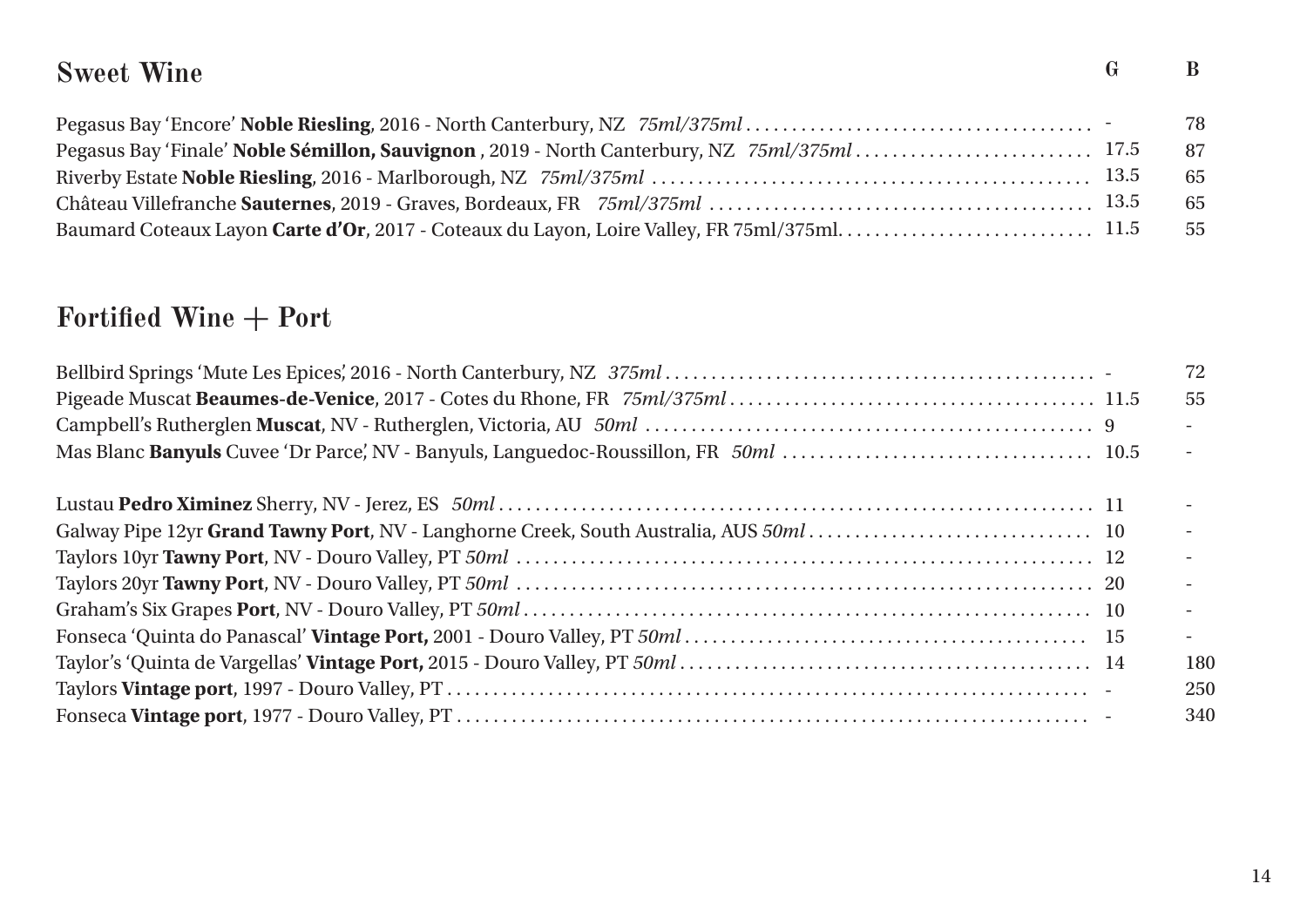# **Sweet Wine G B**

|  | - 78 |
|--|------|
|  | - 87 |
|  | - 65 |
|  | - 65 |
|  |      |

# Fortified Wine + Port

|  | 72                       |
|--|--------------------------|
|  | 55                       |
|  |                          |
|  | $-$                      |
|  |                          |
|  |                          |
|  | $\overline{\phantom{a}}$ |
|  |                          |
|  |                          |
|  | $\sim$                   |
|  | 180                      |
|  | 250                      |
|  | 340                      |